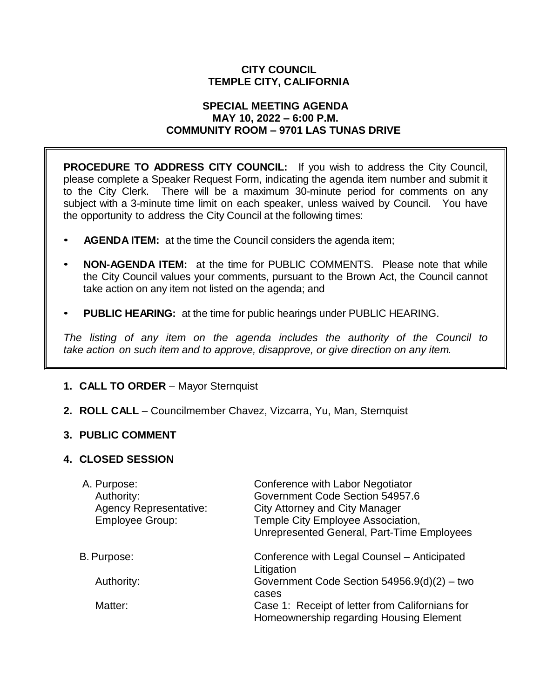## **CITY COUNCIL TEMPLE CITY, CALIFORNIA**

#### **SPECIAL MEETING AGENDA MAY 10, 2022 – 6:00 P.M. COMMUNITY ROOM – 9701 LAS TUNAS DRIVE**

**PROCEDURE TO ADDRESS CITY COUNCIL:** If you wish to address the City Council, please complete a Speaker Request Form, indicating the agenda item number and submit it to the City Clerk. There will be a maximum 30-minute period for comments on any subject with a 3-minute time limit on each speaker, unless waived by Council. You have the opportunity to address the City Council at the following times:

- **AGENDA ITEM:** at the time the Council considers the agenda item;
- **NON-AGENDA ITEM:** at the time for PUBLIC COMMENTS. Please note that while the City Council values your comments, pursuant to the Brown Act, the Council cannot take action on any item not listed on the agenda; and
- **PUBLIC HEARING:** at the time for public hearings under PUBLIC HEARING.

*The listing of any item on the agenda includes the authority of the Council to take action on such item and to approve, disapprove, or give direction on any item.*

# **1. CALL TO ORDER** – Mayor Sternquist

**2. ROLL CALL** – Councilmember Chavez, Vizcarra, Yu, Man, Sternquist

## **3. PUBLIC COMMENT**

## **4. CLOSED SESSION**

| A. Purpose:<br>Authority:<br><b>Agency Representative:</b><br><b>Employee Group:</b> | Conference with Labor Negotiator<br>Government Code Section 54957.6<br><b>City Attorney and City Manager</b><br>Temple City Employee Association,<br>Unrepresented General, Part-Time Employees |
|--------------------------------------------------------------------------------------|-------------------------------------------------------------------------------------------------------------------------------------------------------------------------------------------------|
| B. Purpose:                                                                          | Conference with Legal Counsel - Anticipated                                                                                                                                                     |
|                                                                                      | Litigation                                                                                                                                                                                      |
| Authority:                                                                           | Government Code Section $54956.9(d)(2) - two$<br>cases                                                                                                                                          |
| Matter:                                                                              | Case 1: Receipt of letter from Californians for<br>Homeownership regarding Housing Element                                                                                                      |